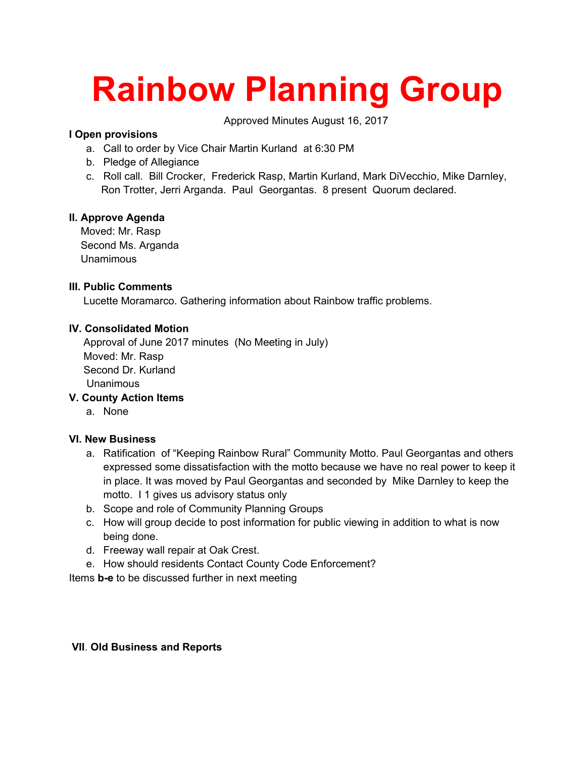# **Rainbow Planning Group**

Approved Minutes August 16, 2017

# **I Open provisions**

- a. Call to order by Vice Chair Martin Kurland at 6:30 PM
- b. Pledge of Allegiance
- c. Roll call. Bill Crocker, Frederick Rasp, Martin Kurland, Mark DiVecchio, Mike Darnley, Ron Trotter, Jerri Arganda. Paul Georgantas. 8 present Quorum declared.

### **II. Approve Agenda**

 Moved: Mr. Rasp Second Ms. Arganda Unamimous

### **III. Public Comments**

Lucette Moramarco. Gathering information about Rainbow traffic problems.

### **IV. Consolidated Motion**

 Approval of June 2017 minutes (No Meeting in July) Moved: Mr. Rasp Second Dr. Kurland Unanimous

## **V. County Action Items**

a. None

### **VI. New Business**

- a. Ratification of "Keeping Rainbow Rural" Community Motto. Paul Georgantas and others expressed some dissatisfaction with the motto because we have no real power to keep it in place. It was moved by Paul Georgantas and seconded by Mike Darnley to keep the motto. I 1 gives us advisory status only
- b. Scope and role of Community Planning Groups
- c. How will group decide to post information for public viewing in addition to what is now being done.
- d. Freeway wall repair at Oak Crest.
- e. How should residents Contact County Code Enforcement?

Items **b-e** to be discussed further in next meeting

#### **VII**. **Old Business and Reports**